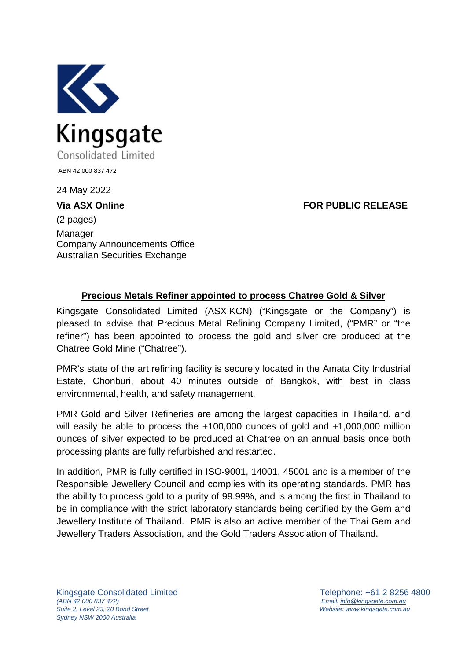

24 May 2022

**Via ASX Online FOR PUBLIC RELEASE**

(2 pages) Manager Company Announcements Office Australian Securities Exchange

## **Precious Metals Refiner appointed to process Chatree Gold & Silver**

Kingsgate Consolidated Limited (ASX:KCN) ("Kingsgate or the Company") is pleased to advise that Precious Metal Refining Company Limited, ("PMR" or "the refiner") has been appointed to process the gold and silver ore produced at the Chatree Gold Mine ("Chatree").

PMR's state of the art refining facility is securely located in the Amata City Industrial Estate, Chonburi, about 40 minutes outside of Bangkok, with best in class environmental, health, and safety management.

PMR Gold and Silver Refineries are among the largest capacities in Thailand, and will easily be able to process the +100,000 ounces of gold and +1,000,000 million ounces of silver expected to be produced at Chatree on an annual basis once both processing plants are fully refurbished and restarted.

In addition, PMR is fully certified in ISO-9001, 14001, 45001 and is a member of the Responsible Jewellery Council and complies with its operating standards. PMR has the ability to process gold to a purity of 99.99%, and is among the first in Thailand to be in compliance with the strict laboratory standards being certified by the Gem and Jewellery Institute of Thailand. PMR is also an active member of the Thai Gem and Jewellery Traders Association, and the Gold Traders Association of Thailand.